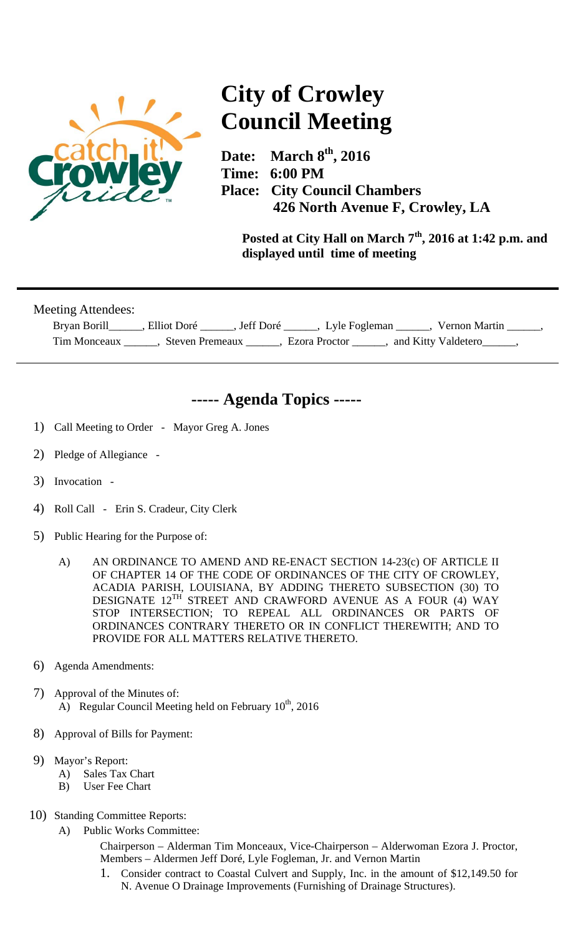

## **City of Crowley Council Meeting**

**Date: March 8th, 2016 Time: 6:00 PM Place: City Council Chambers 426 North Avenue F, Crowley, LA** 

**Posted at City Hall on March 7th, 2016 at 1:42 p.m. and displayed until time of meeting** 

Meeting Attendees:

| Bryan Borill | Elliot Doré<br>Jeff Doré | Lyle Fogleman | Vernon Martin       |  |
|--------------|--------------------------|---------------|---------------------|--|
| Tim Monceaux | Steven Premeaux          | Ezora Proctor | and Kitty Valdetero |  |

## **----- Agenda Topics -----**

- 1) Call Meeting to Order Mayor Greg A. Jones
- 2) Pledge of Allegiance -
- 3) Invocation -
- 4) Roll Call Erin S. Cradeur, City Clerk
- 5) Public Hearing for the Purpose of:
	- A) AN ORDINANCE TO AMEND AND RE-ENACT SECTION 14-23(c) OF ARTICLE II OF CHAPTER 14 OF THE CODE OF ORDINANCES OF THE CITY OF CROWLEY, ACADIA PARISH, LOUISIANA, BY ADDING THERETO SUBSECTION (30) TO DESIGNATE 12TH STREET AND CRAWFORD AVENUE AS A FOUR (4) WAY STOP INTERSECTION; TO REPEAL ALL ORDINANCES OR PARTS OF ORDINANCES CONTRARY THERETO OR IN CONFLICT THEREWITH; AND TO PROVIDE FOR ALL MATTERS RELATIVE THERETO.
- 6) Agenda Amendments:
- 7) Approval of the Minutes of: A) Regular Council Meeting held on February  $10^{th}$ , 2016
- 8) Approval of Bills for Payment:
- 9) Mayor's Report:
	- A) Sales Tax Chart
	- B) User Fee Chart
- 10) Standing Committee Reports:
	- A) Public Works Committee:

Chairperson – Alderman Tim Monceaux, Vice-Chairperson – Alderwoman Ezora J. Proctor, Members – Aldermen Jeff Doré, Lyle Fogleman, Jr. and Vernon Martin

1. Consider contract to Coastal Culvert and Supply, Inc. in the amount of \$12,149.50 for N. Avenue O Drainage Improvements (Furnishing of Drainage Structures).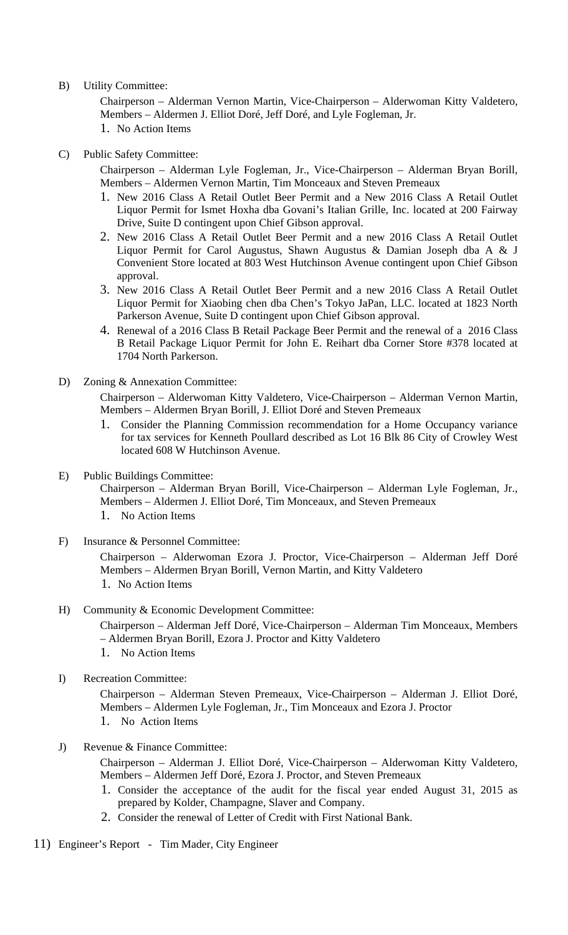B) Utility Committee:

Chairperson – Alderman Vernon Martin, Vice-Chairperson – Alderwoman Kitty Valdetero, Members – Aldermen J. Elliot Doré, Jeff Doré, and Lyle Fogleman, Jr.

- 1. No Action Items
- C) Public Safety Committee:

Chairperson – Alderman Lyle Fogleman, Jr., Vice-Chairperson – Alderman Bryan Borill, Members – Aldermen Vernon Martin, Tim Monceaux and Steven Premeaux

- 1. New 2016 Class A Retail Outlet Beer Permit and a New 2016 Class A Retail Outlet Liquor Permit for Ismet Hoxha dba Govani's Italian Grille, Inc. located at 200 Fairway Drive, Suite D contingent upon Chief Gibson approval.
- 2. New 2016 Class A Retail Outlet Beer Permit and a new 2016 Class A Retail Outlet Liquor Permit for Carol Augustus, Shawn Augustus & Damian Joseph dba A & J Convenient Store located at 803 West Hutchinson Avenue contingent upon Chief Gibson approval.
- 3. New 2016 Class A Retail Outlet Beer Permit and a new 2016 Class A Retail Outlet Liquor Permit for Xiaobing chen dba Chen's Tokyo JaPan, LLC. located at 1823 North Parkerson Avenue, Suite D contingent upon Chief Gibson approval.
- 4. Renewal of a 2016 Class B Retail Package Beer Permit and the renewal of a 2016 Class B Retail Package Liquor Permit for John E. Reihart dba Corner Store #378 located at 1704 North Parkerson.
- D) Zoning & Annexation Committee:

Chairperson – Alderwoman Kitty Valdetero, Vice-Chairperson – Alderman Vernon Martin, Members – Aldermen Bryan Borill, J. Elliot Doré and Steven Premeaux

- 1. Consider the Planning Commission recommendation for a Home Occupancy variance for tax services for Kenneth Poullard described as Lot 16 Blk 86 City of Crowley West located 608 W Hutchinson Avenue.
- E) Public Buildings Committee:

Chairperson – Alderman Bryan Borill, Vice-Chairperson – Alderman Lyle Fogleman, Jr., Members – Aldermen J. Elliot Doré, Tim Monceaux, and Steven Premeaux

- 1. No Action Items
- F) Insurance & Personnel Committee:

Chairperson – Alderwoman Ezora J. Proctor, Vice-Chairperson – Alderman Jeff Doré Members – Aldermen Bryan Borill, Vernon Martin, and Kitty Valdetero 1. No Action Items

H) Community & Economic Development Committee:

Chairperson – Alderman Jeff Doré, Vice-Chairperson – Alderman Tim Monceaux, Members – Aldermen Bryan Borill, Ezora J. Proctor and Kitty Valdetero

- 1. No Action Items
- I) Recreation Committee:

Chairperson – Alderman Steven Premeaux, Vice-Chairperson – Alderman J. Elliot Doré, Members – Aldermen Lyle Fogleman, Jr., Tim Monceaux and Ezora J. Proctor

- 1. No Action Items
- J) Revenue & Finance Committee:

Chairperson – Alderman J. Elliot Doré, Vice-Chairperson – Alderwoman Kitty Valdetero, Members – Aldermen Jeff Doré, Ezora J. Proctor, and Steven Premeaux

- 1. Consider the acceptance of the audit for the fiscal year ended August 31, 2015 as prepared by Kolder, Champagne, Slaver and Company.
- 2. Consider the renewal of Letter of Credit with First National Bank.
- 11) Engineer's Report Tim Mader, City Engineer